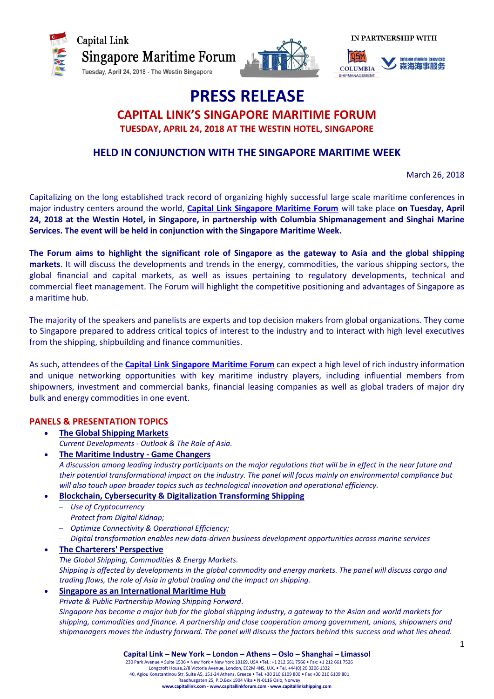



**IN PARTNERSHIP WITH** 



# **PRESS RELEASE CAPITAL LINK'S SINGAPORE MARITIME FORUM TUESDAY, APRIL 24, 2018 AT THE WESTIN HOTEL, SINGAPORE**

# **HELD IN CONJUNCTION WITH THE SINGAPORE MARITIME WEEK**

March 26, 2018

Capitalizing on the long established track record of organizing highly successful large scale maritime conferences in major industry centers around the world, **Capital Link [Singapore Maritime Forum](http://forums.capitallink.com/shipping/2018singapore/index.html)** will take place **on Tuesday, April 24, 2018 at the Westin Hotel, in Singapore, in partnership with Columbia Shipmanagement and Singhai Marine Services. The event will be held in conjunction with the Singapore Maritime Week.** 

**The Forum aims to highlight the significant role of Singapore as the gateway to Asia and the global shipping markets**. It will discuss the developments and trends in the energy, commodities, the various shipping sectors, the global financial and capital markets, as well as issues pertaining to regulatory developments, technical and commercial fleet management. The Forum will highlight the competitive positioning and advantages of Singapore as a maritime hub.

The majority of the speakers and panelists are experts and top decision makers from global organizations. They come to Singapore prepared to address critical topics of interest to the industry and to interact with high level executives from the shipping, shipbuilding and finance communities.

As such, attendees of the **Capital Link [Singapore Maritime Forum](http://forums.capitallink.com/shipping/2018singapore/index.html)** can expect a high level of rich industry information and unique networking opportunities with key maritime industry players, including influential members from shipowners, investment and commercial banks, financial leasing companies as well as global traders of major dry bulk and energy commodities in one event.

# **PANELS & PRESENTATION TOPICS**

- **The Global Shipping Markets** *Current Developments - Outlook & The Role of Asia.*
- **The Maritime Industry - Game Changers** *A discussion among leading industry participants on the major regulations that will be in effect in the near future and their potential transformational impact on the industry. The panel will focus mainly on environmental compliance but will also touch upon broader topics such as technological innovation and operational efficiency.*
- **Blockchain, Cybersecurity & Digitalization Transforming Shipping**
	- *Use of Cryptocurrency*
	- *Protect from Digital Kidnap;*
	- *Optimize Connectivity & Operational Efficiency;*
	- *Digital transformation enables new data-driven business development opportunities across marine services*

## **The Charterers' Perspective**

*The Global Shipping, Commodities & Energy Markets. Shipping is affected by developments in the global commodity and energy markets. The panel will discuss cargo and trading flows, the role of Asia in global trading and the impact on shipping.*

**Singapore as an International Maritime Hub**

*Private & Public Partnership Moving Shipping Forward.*

*Singapore has become a major hub for the global shipping industry, a gateway to the Asian and world markets for shipping, commodities and finance. A partnership and close cooperation among government, unions, shipowners and shipmanagers moves the industry forward. The panel will discuss the factors behind this success and what lies ahead.*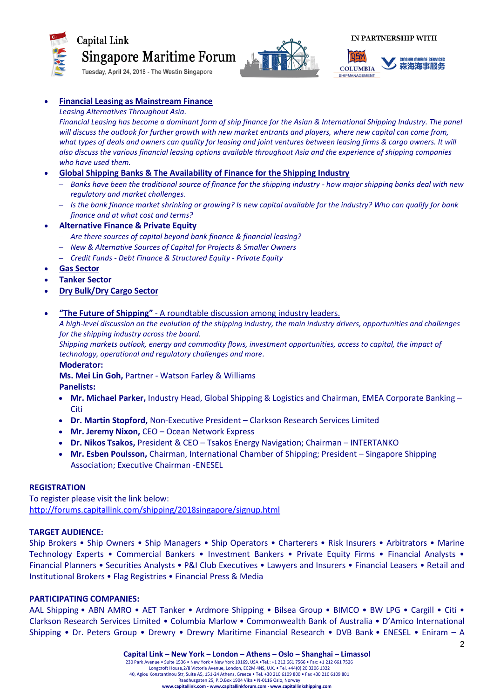

# Capital Link **Singapore Maritime Forum**

Tuesday, April 24, 2018 - The Westin Singapore



**IN PARTNERSHIP WITH** 



# **Financial Leasing as Mainstream Finance**

#### *Leasing Alternatives Throughout Asia.*

*Financial Leasing has become a dominant form of ship finance for the Asian & International Shipping Industry. The panel*  will discuss the outlook for further growth with new market entrants and players, where new capital can come from, what types of deals and owners can quality for leasing and joint ventures between leasing firms & cargo owners. It will *also discuss the various financial leasing options available throughout Asia and the experience of shipping companies who have used them.*

## **Global Shipping Banks & The Availability of Finance for the Shipping Industry**

- *Banks have been the traditional source of finance for the shipping industry - how major shipping banks deal with new regulatory and market challenges.*
- *Is the bank finance market shrinking or growing? Is new capital available for the industry? Who can qualify for bank finance and at what cost and terms?*

## **Alternative Finance & Private Equity**

- *Are there sources of capital beyond bank finance & financial leasing?*
- *New & Alternative Sources of Capital for Projects & Smaller Owners*
- *Credit Funds - Debt Finance & Structured Equity - Private Equity*
- **Gas Sector**
- **Tanker Sector**
- **Dry Bulk/Dry Cargo Sector**

#### **"The Future of Shipping"** - A roundtable discussion among industry leaders.

*A high-level discussion on the evolution of the shipping industry, the main industry drivers, opportunities and challenges for the shipping industry across the board.*

*Shipping markets outlook, energy and commodity flows, investment opportunities, access to capital, the impact of technology, operational and regulatory challenges and more.*

**Moderator:** 

**Ms. Mei Lin Goh,** Partner - Watson Farley & Williams

**Panelists:**

- **Mr. Michael Parker,** Industry Head, Global Shipping & Logistics and Chairman, EMEA Corporate Banking **Citi**
- **Dr. Martin Stopford,** Non-Executive President Clarkson Research Services Limited
- **Mr. Jeremy Nixon,** CEO Ocean Network Express
- **Dr. Nikos Tsakos,** President & CEO Tsakos Energy Navigation; Chairman INTERTANKO
- **Mr. Esben Poulsson,** Chairman, International Chamber of Shipping; President Singapore Shipping Association; Executive Chairman -ENESEL

#### **REGISTRATION**

To register please visit the link below: <http://forums.capitallink.com/shipping/2018singapore/signup.html>

# **TARGET AUDIENCE:**

Ship Brokers • Ship Owners • Ship Managers • Ship Operators • Charterers • Risk Insurers • Arbitrators • Marine Technology Experts • Commercial Bankers • Investment Bankers • Private Equity Firms • Financial Analysts • Financial Planners • Securities Analysts • P&I Club Executives • Lawyers and Insurers • Financial Leasers • Retail and Institutional Brokers • Flag Registries • Financial Press & Media

#### **PARTICIPATING COMPANIES:**

AAL Shipping • ABN AMRO • AET Tanker • Ardmore Shipping • Bilsea Group • BIMCO • BW LPG • Cargill • Citi • Clarkson Research Services Limited • Columbia Marlow • Commonwealth Bank of Australia • D'Amico International Shipping • Dr. Peters Group • Drewry • Drewry Maritime Financial Research • DVB Bank • ENESEL • Eniram – A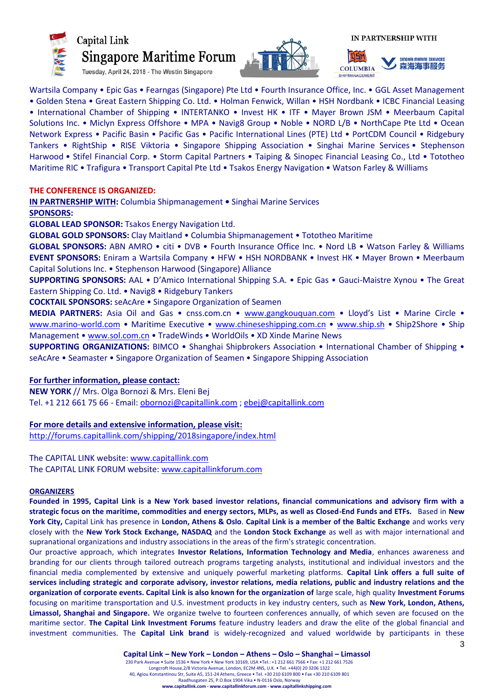

# Capital Link **Singapore Maritime Forum**

Tuesday, April 24, 2018 - The Westin Singapore





**SIDGHAI MARIDE SERVICES** ● 森海海事服务 **COLUMBIA** IPMANAGEMENT

Wartsila Company • Epic Gas • Fearngas (Singapore) Pte Ltd • Fourth Insurance Office, Inc. • GGL Asset Management • Golden Stena • Great Eastern Shipping Co. Ltd. • Holman Fenwick, Willan • HSH Nordbank • ICBC Financial Leasing • International Chamber of Shipping • INTERTANKO • Invest HK • ITF • Mayer Brown JSM • Meerbaum Capital Solutions Inc. • Miclyn Express Offshore • MPA • Navig8 Group • Noble • NORD L/B • NorthCape Pte Ltd • Ocean Network Express • Pacific Basin • Pacific Gas • Pacific International Lines (PTE) Ltd • PortCDM Council • Ridgebury Tankers • RightShip • RISE Viktoria • Singapore Shipping Association • Singhai Marine Services • Stephenson Harwood • Stifel Financial Corp. • Storm Capital Partners • Taiping & Sinopec Financial Leasing Co., Ltd • Tototheo Maritime RIC • Trafigura • Transport Capital Pte Ltd • Tsakos Energy Navigation • Watson Farley & Williams

## **THE CONFERENCE IS ORGANIZED:**

**IN PARTNERSHIP WITH:** Columbia Shipmanagement **•** Singhai Marine Services **SPONSORS:**

**GLOBAL LEAD SPONSOR:** Tsakos Energy Navigation Ltd.

**GLOBAL GOLD SPONSORS:** Clay Maitland • Columbia Shipmanagement • Tototheo Maritime

**GLOBAL SPONSORS:** ABN AMRO • citi • DVB • Fourth Insurance Office Inc. • Nord LB • Watson Farley & Williams **EVENT SPONSORS:** Eniram a Wartsila Company • HFW • HSH NORDBANK • Invest HK • Mayer Brown • Meerbaum Capital Solutions Inc. • Stephenson Harwood (Singapore) Alliance

**SUPPORTING SPONSORS:** AAL • D'Amico International Shipping S.A. • Epic Gas • Gauci-Maistre Xynou • The Great Eastern Shipping Co. Ltd. • Navig8 • Ridgebury Tankers

**COCKTAIL SPONSORS:** seAcAre • Singapore Organization of Seamen

**MEDIA PARTNERS:** Asia Oil and Gas • cnss.com.cn • [www.gangkouquan.com](http://www.gangkouquan.com/) • Lloyd's List • Marine Circle • [www.marino-world.com](http://www.marino-world.com/) • Maritime Executive • [www.chineseshipping.com.cn](http://www.chineseshipping.com.cn/) • [www.ship.sh](http://www.ship.sh/) • Ship2Shore • Ship Management • [www.sol.com.cn](http://www.sol.com.cn/) • TradeWinds • WorldOils • XD Xinde Marine News

**SUPPORTING ORGANIZATIONS:** BIMCO • Shanghai Shipbrokers Association • International Chamber of Shipping • seAcAre • Seamaster • Singapore Organization of Seamen • Singapore Shipping Association

## **For further information, please contact:**

**NEW YORK** // Mrs. Olga Bornozi & Mrs. Eleni Bej Tel. +1 212 661 75 66 - Email: [obornozi@capitallink.com](mailto:obornozi@capitallink.com) ; ebej@capitallink.com

**For more details and extensive information, please visit:** [http://forums.capitallink.com/shipping/2018singapore/index.html](http://forums.capitallink.com/shipping/2018china/index.html)

The CAPITAL LINK website: [www.capitallink.com](http://www.capitallink.com/)  The CAPITAL LINK FORUM website: [www.capitallinkforum.com](http://www.capitallinkforum.com/)

#### **ORGANIZERS**

**Founded in 1995, Capital Link is a New York based investor relations, financial communications and advisory firm with a strategic focus on the maritime, commodities and energy sectors, MLPs, as well as Closed-End Funds and ETFs.** Based in **New York City,** Capital Link has presence in **London, Athens & Oslo**. **Capital Link is a member of the Baltic Exchange** and works very closely with the **New York Stock Exchange, NASDAQ** and the **London Stock Exchange** as well as with major international and supranational organizations and industry associations in the areas of the firm's strategic concentration.

Our proactive approach, which integrates **Investor Relations, Information Technology and Media**, enhances awareness and branding for our clients through tailored outreach programs targeting analysts, institutional and individual investors and the financial media complemented by extensive and uniquely powerful marketing platforms. **Capital Link offers a full suite of services including strategic and corporate advisory, investor relations, media relations, public and industry relations and the organization of corporate events. Capital Link is also known for the organization of** large scale, high quality **Investment Forums** focusing on maritime transportation and U.S. investment products in key industry centers, such as **New York, London, Athens, Limassol, Shanghai and Singapore.** We organize twelve to fourteen conferences annually, of which seven are focused on the maritime sector. **The Capital Link Investment Forums** feature industry leaders and draw the elite of the global financial and investment communities. The **Capital Link brand** is widely-recognized and valued worldwide by participants in these